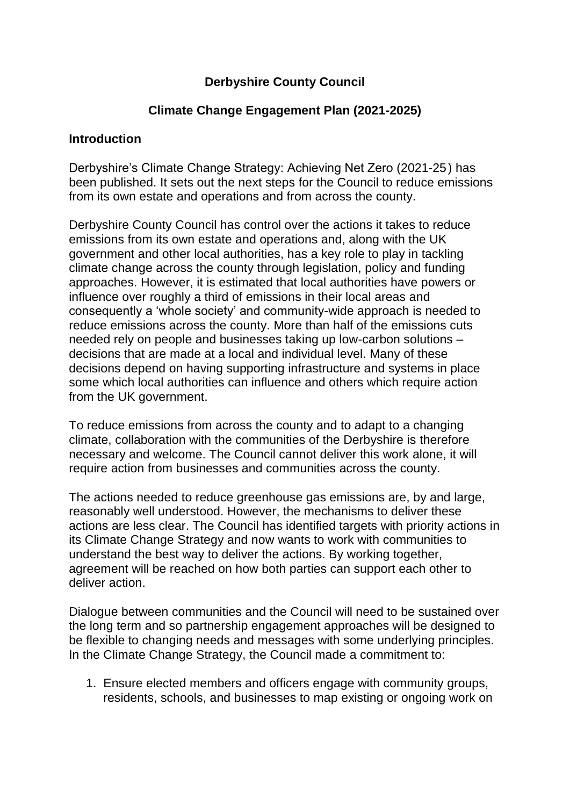# **Derbyshire County Council**

## **Climate Change Engagement Plan (2021-2025)**

#### **Introduction**

Derbyshire's Climate Change Strategy: Achieving Net Zero (2021-25) has been published. It sets out the next steps for the Council to reduce emissions from its own estate and operations and from across the county.

Derbyshire County Council has control over the actions it takes to reduce emissions from its own estate and operations and, along with the UK government and other local authorities, has a key role to play in tackling climate change across the county through legislation, policy and funding approaches. However, it is estimated that local authorities have powers or influence over roughly a third of emissions in their local areas and consequently a 'whole society' and community-wide approach is needed to reduce emissions across the county. More than half of the emissions cuts needed rely on people and businesses taking up low-carbon solutions – decisions that are made at a local and individual level. Many of these decisions depend on having supporting infrastructure and systems in place some which local authorities can influence and others which require action from the UK government.

To reduce emissions from across the county and to adapt to a changing climate, collaboration with the communities of the Derbyshire is therefore necessary and welcome. The Council cannot deliver this work alone, it will require action from businesses and communities across the county.

The actions needed to reduce greenhouse gas emissions are, by and large, reasonably well understood. However, the mechanisms to deliver these actions are less clear. The Council has identified targets with priority actions in its Climate Change Strategy and now wants to work with communities to understand the best way to deliver the actions. By working together, agreement will be reached on how both parties can support each other to deliver action.

Dialogue between communities and the Council will need to be sustained over the long term and so partnership engagement approaches will be designed to be flexible to changing needs and messages with some underlying principles. In the Climate Change Strategy, the Council made a commitment to:

1. Ensure elected members and officers engage with community groups, residents, schools, and businesses to map existing or ongoing work on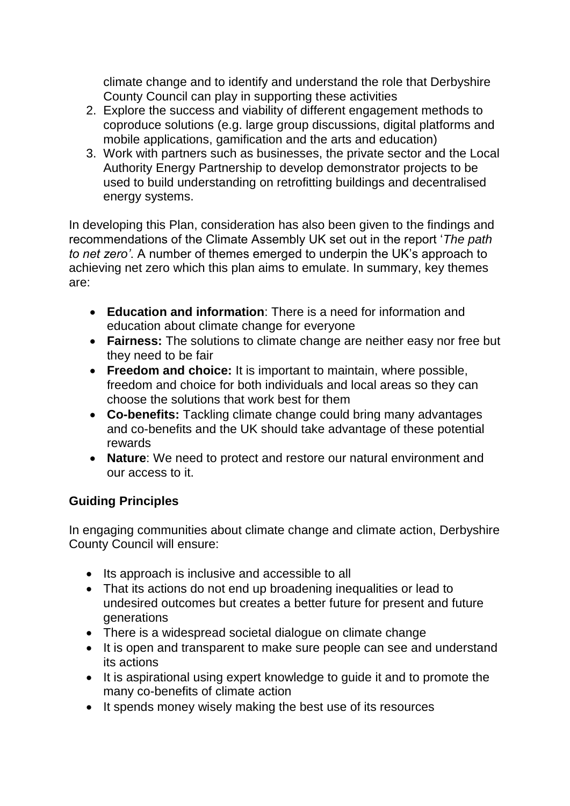climate change and to identify and understand the role that Derbyshire County Council can play in supporting these activities

- 2. Explore the success and viability of different engagement methods to coproduce solutions (e.g. large group discussions, digital platforms and mobile applications, gamification and the arts and education)
- 3. Work with partners such as businesses, the private sector and the Local Authority Energy Partnership to develop demonstrator projects to be used to build understanding on retrofitting buildings and decentralised energy systems.

In developing this Plan, consideration has also been given to the findings and recommendations of the Climate Assembly UK set out in the report '*The path to net zero'*. A number of themes emerged to underpin the UK's approach to achieving net zero which this plan aims to emulate. In summary, key themes are:

- **Education and information**: There is a need for information and education about climate change for everyone
- **Fairness:** The solutions to climate change are neither easy nor free but they need to be fair
- **Freedom and choice:** It is important to maintain, where possible, freedom and choice for both individuals and local areas so they can choose the solutions that work best for them
- **Co-benefits:** Tackling climate change could bring many advantages and co-benefits and the UK should take advantage of these potential rewards
- **Nature**: We need to protect and restore our natural environment and our access to it.

# **Guiding Principles**

In engaging communities about climate change and climate action, Derbyshire County Council will ensure:

- Its approach is inclusive and accessible to all
- That its actions do not end up broadening inequalities or lead to undesired outcomes but creates a better future for present and future generations
- There is a widespread societal dialogue on climate change
- It is open and transparent to make sure people can see and understand its actions
- It is aspirational using expert knowledge to guide it and to promote the many co-benefits of climate action
- It spends money wisely making the best use of its resources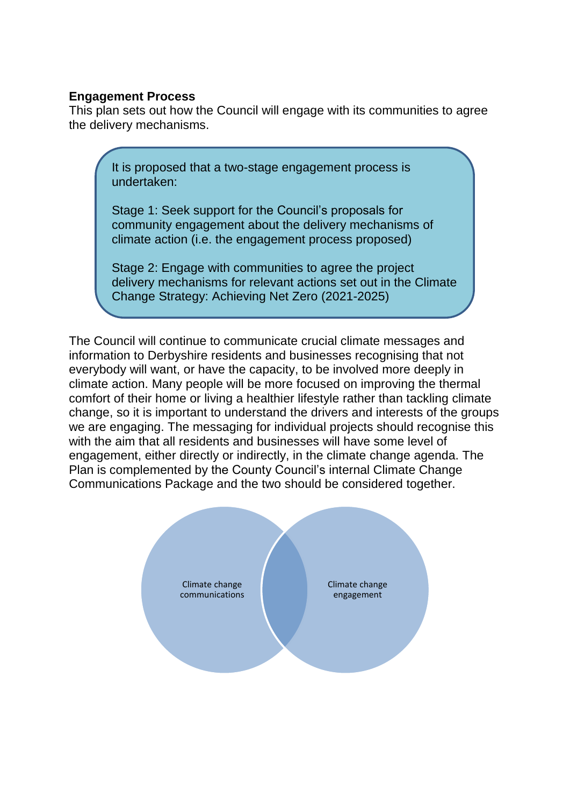## **Engagement Process**

This plan sets out how the Council will engage with its communities to agree the delivery mechanisms.

It is proposed that a two-stage engagement process is undertaken:

Stage 1: Seek support for the Council's proposals for community engagement about the delivery mechanisms of climate action (i.e. the engagement process proposed)

Stage 2: Engage with communities to agree the project delivery mechanisms for relevant actions set out in the Climate Change Strategy: Achieving Net Zero (2021-2025)

The Council will continue to communicate crucial climate messages and information to Derbyshire residents and businesses recognising that not everybody will want, or have the capacity, to be involved more deeply in climate action. Many people will be more focused on improving the thermal comfort of their home or living a healthier lifestyle rather than tackling climate change, so it is important to understand the drivers and interests of the groups we are engaging. The messaging for individual projects should recognise this with the aim that all residents and businesses will have some level of engagement, either directly or indirectly, in the climate change agenda. The Plan is complemented by the County Council's internal Climate Change Communications Package and the two should be considered together.

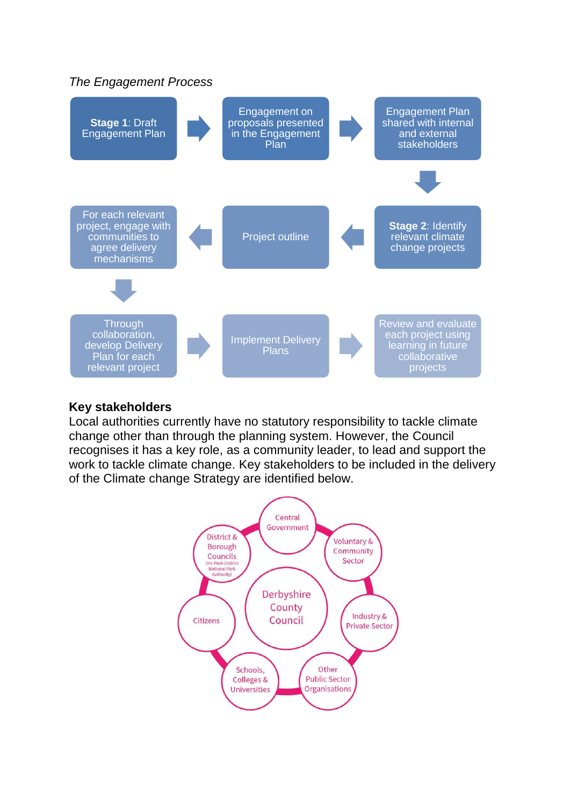

### **Key stakeholders**

Local authorities currently have no statutory responsibility to tackle climate change other than through the planning system. However, the Council recognises it has a key role, as a community leader, to lead and support the work to tackle climate change. Key stakeholders to be included in the delivery of the Climate change Strategy are identified below.

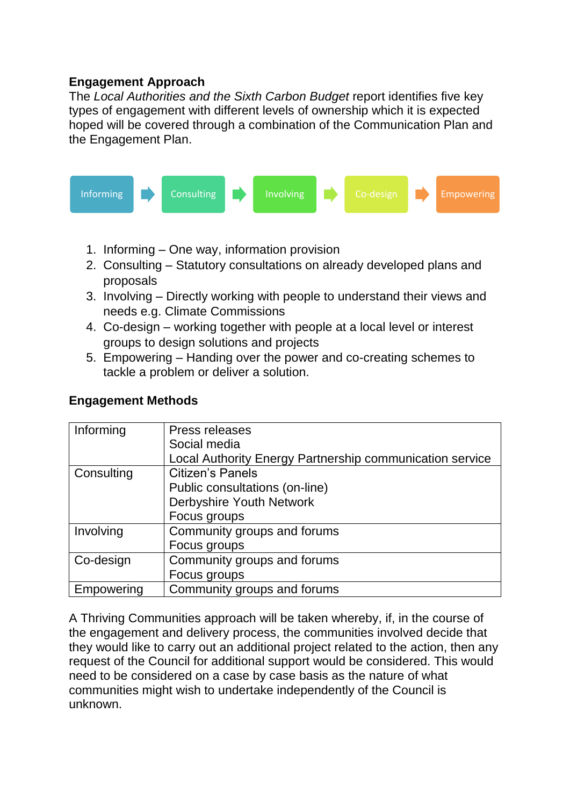## **Engagement Approach**

The *Local Authorities and the Sixth Carbon Budget* report identifies five key types of engagement with different levels of ownership which it is expected hoped will be covered through a combination of the Communication Plan and the Engagement Plan.



- 1. Informing One way, information provision
- 2. Consulting Statutory consultations on already developed plans and proposals
- 3. Involving Directly working with people to understand their views and needs e.g. Climate Commissions
- 4. Co-design working together with people at a local level or interest groups to design solutions and projects
- 5. Empowering Handing over the power and co-creating schemes to tackle a problem or deliver a solution.

### **Engagement Methods**

| Informing  | Press releases                                           |
|------------|----------------------------------------------------------|
|            | Social media                                             |
|            | Local Authority Energy Partnership communication service |
| Consulting | <b>Citizen's Panels</b>                                  |
|            | Public consultations (on-line)                           |
|            | Derbyshire Youth Network                                 |
|            | Focus groups                                             |
| Involving  | Community groups and forums                              |
|            | Focus groups                                             |
| Co-design  | Community groups and forums                              |
|            | Focus groups                                             |
| Empowering | Community groups and forums                              |

A Thriving Communities approach will be taken whereby, if, in the course of the engagement and delivery process, the communities involved decide that they would like to carry out an additional project related to the action, then any request of the Council for additional support would be considered. This would need to be considered on a case by case basis as the nature of what communities might wish to undertake independently of the Council is unknown.